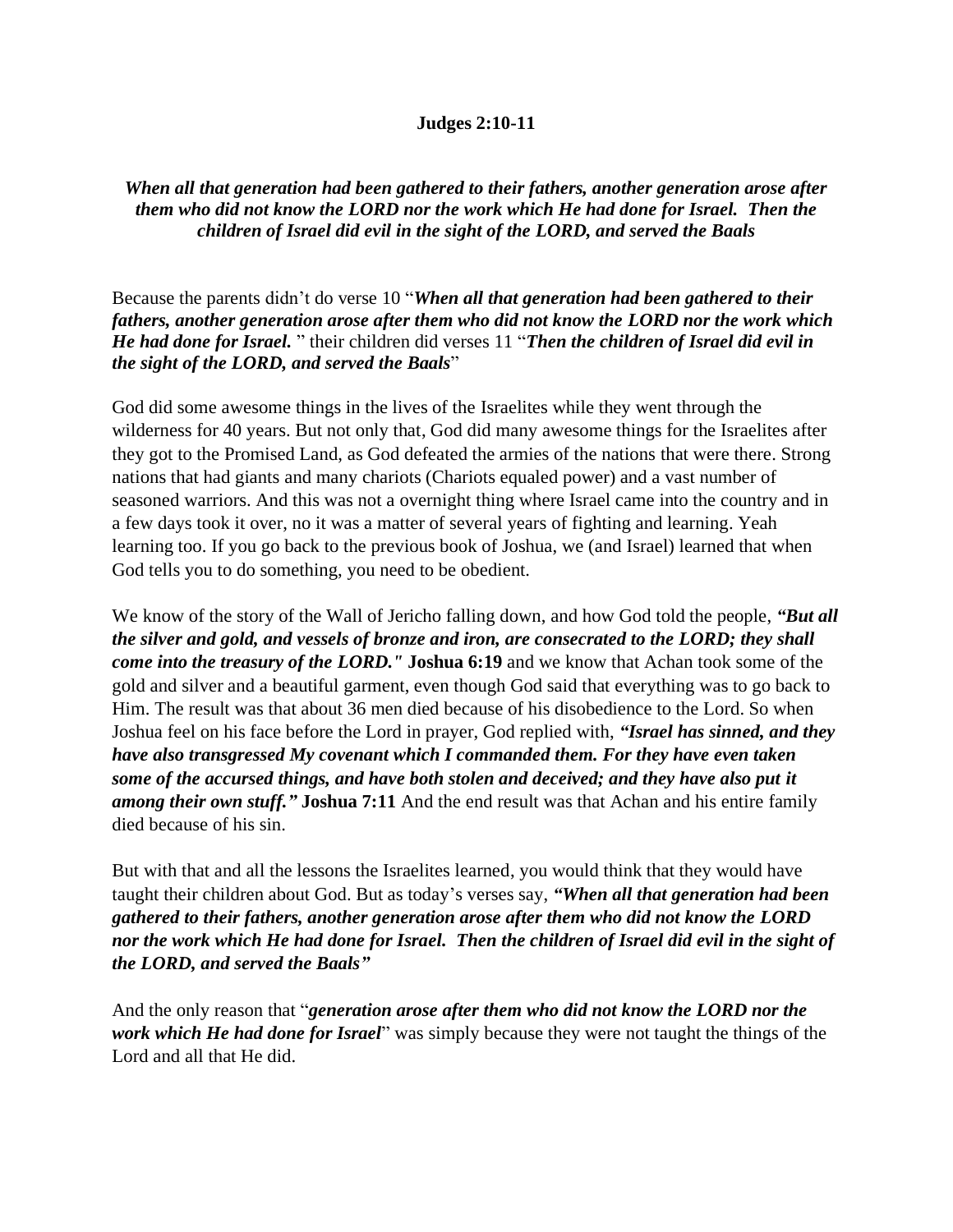## **Judges 2:10-11**

## *When all that generation had been gathered to their fathers, another generation arose after them who did not know the LORD nor the work which He had done for Israel. Then the children of Israel did evil in the sight of the LORD, and served the Baals*

Because the parents didn't do verse 10 "*When all that generation had been gathered to their fathers, another generation arose after them who did not know the LORD nor the work which He had done for Israel.* " their children did verses 11 "*Then the children of Israel did evil in the sight of the LORD, and served the Baals*"

God did some awesome things in the lives of the Israelites while they went through the wilderness for 40 years. But not only that, God did many awesome things for the Israelites after they got to the Promised Land, as God defeated the armies of the nations that were there. Strong nations that had giants and many chariots (Chariots equaled power) and a vast number of seasoned warriors. And this was not a overnight thing where Israel came into the country and in a few days took it over, no it was a matter of several years of fighting and learning. Yeah learning too. If you go back to the previous book of Joshua, we (and Israel) learned that when God tells you to do something, you need to be obedient.

We know of the story of the Wall of Jericho falling down, and how God told the people, *"But all the silver and gold, and vessels of bronze and iron, are consecrated to the LORD; they shall come into the treasury of the LORD."* **Joshua 6:19** and we know that Achan took some of the gold and silver and a beautiful garment, even though God said that everything was to go back to Him. The result was that about 36 men died because of his disobedience to the Lord. So when Joshua feel on his face before the Lord in prayer, God replied with, *"Israel has sinned, and they have also transgressed My covenant which I commanded them. For they have even taken some of the accursed things, and have both stolen and deceived; and they have also put it among their own stuff."* **Joshua 7:11** And the end result was that Achan and his entire family died because of his sin.

But with that and all the lessons the Israelites learned, you would think that they would have taught their children about God. But as today's verses say, *"When all that generation had been gathered to their fathers, another generation arose after them who did not know the LORD nor the work which He had done for Israel. Then the children of Israel did evil in the sight of the LORD, and served the Baals"*

And the only reason that "*generation arose after them who did not know the LORD nor the work which He had done for Israel*" was simply because they were not taught the things of the Lord and all that He did.